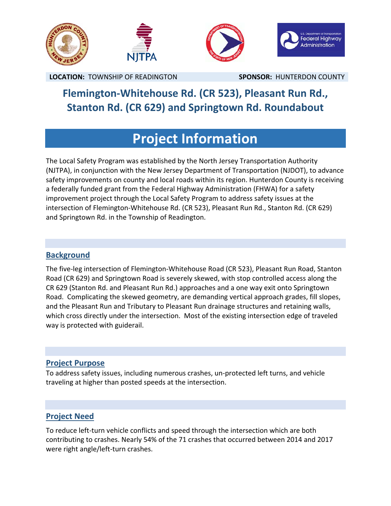

**LOCATION:** TOWNSHIP OF READINGTON **SPONSOR:** HUNTERDON COUNTY

# **Flemington‐Whitehouse Rd. (CR 523), Pleasant Run Rd., Stanton Rd. (CR 629) and Springtown Rd. Roundabout**

# **Project Information**

The Local Safety Program was established by the North Jersey Transportation Authority (NJTPA), in conjunction with the New Jersey Department of Transportation (NJDOT), to advance safety improvements on county and local roads within its region. Hunterdon County is receiving a federally funded grant from the Federal Highway Administration (FHWA) for a safety improvement project through the Local Safety Program to address safety issues at the intersection of Flemington‐Whitehouse Rd. (CR 523), Pleasant Run Rd., Stanton Rd. (CR 629) and Springtown Rd. in the Township of Readington.

### **Background**

The five‐leg intersection of Flemington‐Whitehouse Road (CR 523), Pleasant Run Road, Stanton Road (CR 629) and Springtown Road is severely skewed, with stop controlled access along the CR 629 (Stanton Rd. and Pleasant Run Rd.) approaches and a one way exit onto Springtown Road. Complicating the skewed geometry, are demanding vertical approach grades, fill slopes, and the Pleasant Run and Tributary to Pleasant Run drainage structures and retaining walls, which cross directly under the intersection. Most of the existing intersection edge of traveled way is protected with guiderail.

### **Project Purpose**

To address safety issues, including numerous crashes, un‐protected left turns, and vehicle traveling at higher than posted speeds at the intersection.

### **Project Need**

To reduce left‐turn vehicle conflicts and speed through the intersection which are both contributing to crashes. Nearly 54% of the 71 crashes that occurred between 2014 and 2017 were right angle/left-turn crashes.